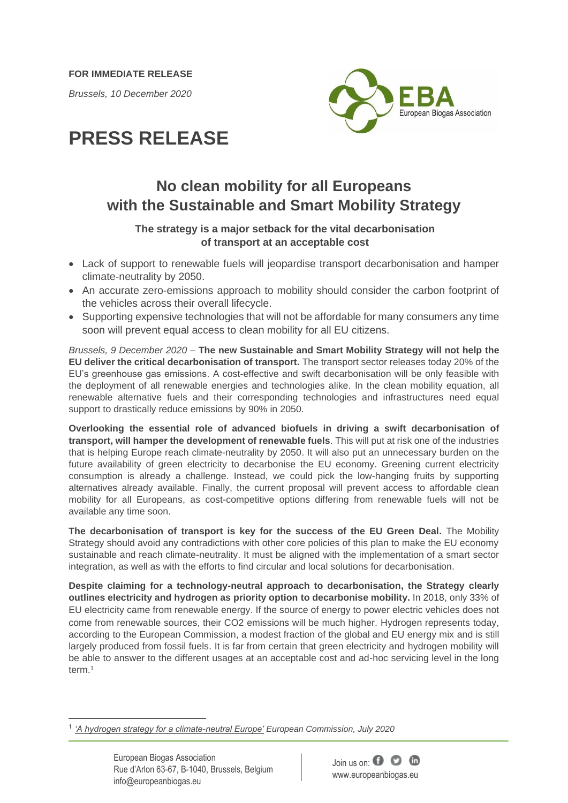**FOR IMMEDIATE RELEASE**

*Brussels, 10 December 2020*



# **PRESS RELEASE**

# **No clean mobility for all Europeans with the Sustainable and Smart Mobility Strategy**

## **The strategy is a major setback for the vital decarbonisation of transport at an acceptable cost**

- Lack of support to renewable fuels will jeopardise transport decarbonisation and hamper climate-neutrality by 2050.
- An accurate zero-emissions approach to mobility should consider the carbon footprint of the vehicles across their overall lifecycle.
- Supporting expensive technologies that will not be affordable for many consumers any time soon will prevent equal access to clean mobility for all EU citizens.

*Brussels, 9 December 2020* – **The new Sustainable and Smart Mobility Strategy will not help the EU deliver the critical decarbonisation of transport.** The transport sector releases today 20% of the EU's greenhouse gas emissions. A cost-effective and swift decarbonisation will be only feasible with the deployment of all renewable energies and technologies alike. In the clean mobility equation, all renewable alternative fuels and their corresponding technologies and infrastructures need equal support to drastically reduce emissions by 90% in 2050.

**Overlooking the essential role of advanced biofuels in driving a swift decarbonisation of transport, will hamper the development of renewable fuels**. This will put at risk one of the industries that is helping Europe reach climate-neutrality by 2050. It will also put an unnecessary burden on the future availability of green electricity to decarbonise the EU economy. Greening current electricity consumption is already a challenge. Instead, we could pick the low-hanging fruits by supporting alternatives already available. Finally, the current proposal will prevent access to affordable clean mobility for all Europeans, as cost-competitive options differing from renewable fuels will not be available any time soon.

**The decarbonisation of transport is key for the success of the EU Green Deal.** The Mobility Strategy should avoid any contradictions with other core policies of this plan to make the EU economy sustainable and reach climate-neutrality. It must be aligned with the implementation of a smart sector integration, as well as with the efforts to find circular and local solutions for decarbonisation.

**Despite claiming for a technology-neutral approach to decarbonisation, the Strategy clearly outlines electricity and hydrogen as priority option to decarbonise mobility.** In 2018, only 33% of EU electricity came from renewable energy. If the source of energy to power electric vehicles does not come from renewable sources, their CO2 emissions will be much higher. Hydrogen represents today, according to the European Commission, a modest fraction of the global and EU energy mix and is still largely produced from fossil fuels. It is far from certain that green electricity and hydrogen mobility will be able to answer to the different usages at an acceptable cost and ad-hoc servicing level in the long term.<sup>1</sup>



<sup>1</sup> *['A hydrogen strategy for a climate-neutral Europe'](https://ec.europa.eu/energy/sites/ener/files/hydrogen_strategy.pdf) European Commission, July 2020*